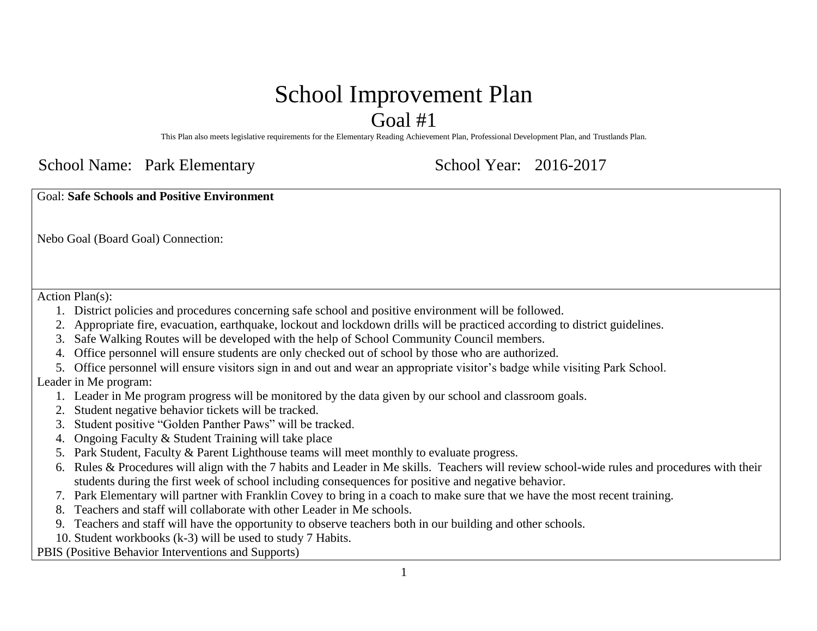# School Improvement Plan

Goal #1

This Plan also meets legislative requirements for the Elementary Reading Achievement Plan, Professional Development Plan, and Trustlands Plan.

#### School Name: Park Elementary School Year: 2016-2017

Goal: **Safe Schools and Positive Environment**

Nebo Goal (Board Goal) Connection:

Action Plan(s):

- 1. District policies and procedures concerning safe school and positive environment will be followed.
- 2. Appropriate fire, evacuation, earthquake, lockout and lockdown drills will be practiced according to district guidelines.
- 3. Safe Walking Routes will be developed with the help of School Community Council members.
- 4. Office personnel will ensure students are only checked out of school by those who are authorized.
- 5. Office personnel will ensure visitors sign in and out and wear an appropriate visitor's badge while visiting Park School.

#### Leader in Me program:

- 1. Leader in Me program progress will be monitored by the data given by our school and classroom goals.
- 2. Student negative behavior tickets will be tracked.
- 3. Student positive "Golden Panther Paws" will be tracked.
- 4. Ongoing Faculty & Student Training will take place
- 5. Park Student, Faculty & Parent Lighthouse teams will meet monthly to evaluate progress.
- 6. Rules & Procedures will align with the 7 habits and Leader in Me skills. Teachers will review school-wide rules and procedures with their students during the first week of school including consequences for positive and negative behavior.
- 7. Park Elementary will partner with Franklin Covey to bring in a coach to make sure that we have the most recent training.
- 8. Teachers and staff will collaborate with other Leader in Me schools.
- 9. Teachers and staff will have the opportunity to observe teachers both in our building and other schools.
- 10. Student workbooks (k-3) will be used to study 7 Habits.

PBIS (Positive Behavior Interventions and Supports)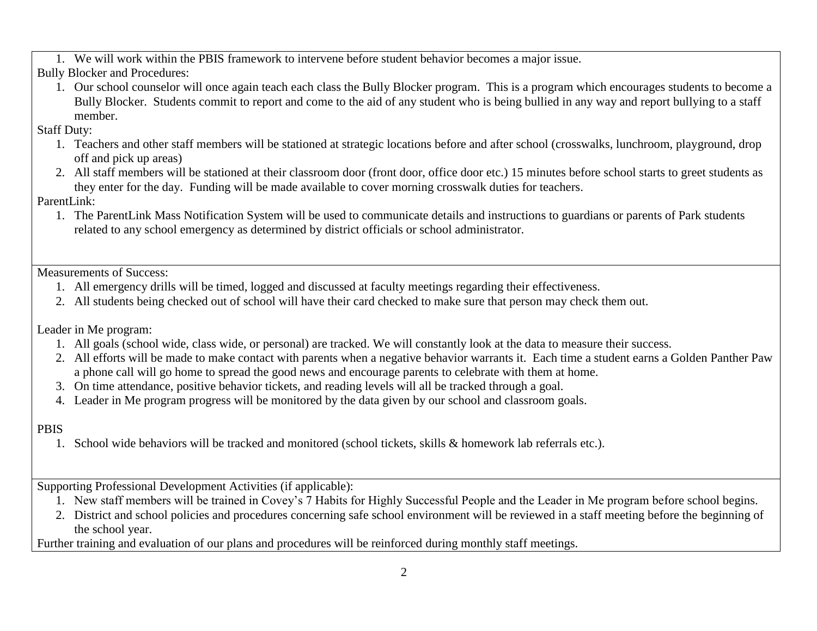1. We will work within the PBIS framework to intervene before student behavior becomes a major issue.

Bully Blocker and Procedures:

1. Our school counselor will once again teach each class the Bully Blocker program. This is a program which encourages students to become a Bully Blocker. Students commit to report and come to the aid of any student who is being bullied in any way and report bullying to a staff member.

Staff Duty:

- 1. Teachers and other staff members will be stationed at strategic locations before and after school (crosswalks, lunchroom, playground, drop off and pick up areas)
- 2. All staff members will be stationed at their classroom door (front door, office door etc.) 15 minutes before school starts to greet students as they enter for the day. Funding will be made available to cover morning crosswalk duties for teachers.

ParentLink:

1. The ParentLink Mass Notification System will be used to communicate details and instructions to guardians or parents of Park students related to any school emergency as determined by district officials or school administrator.

Measurements of Success:

- 1. All emergency drills will be timed, logged and discussed at faculty meetings regarding their effectiveness.
- 2. All students being checked out of school will have their card checked to make sure that person may check them out.

Leader in Me program:

- 1. All goals (school wide, class wide, or personal) are tracked. We will constantly look at the data to measure their success.
- 2. All efforts will be made to make contact with parents when a negative behavior warrants it. Each time a student earns a Golden Panther Paw a phone call will go home to spread the good news and encourage parents to celebrate with them at home.
- 3. On time attendance, positive behavior tickets, and reading levels will all be tracked through a goal.
- 4. Leader in Me program progress will be monitored by the data given by our school and classroom goals.

PBIS

1. School wide behaviors will be tracked and monitored (school tickets, skills & homework lab referrals etc.).

Supporting Professional Development Activities (if applicable):

- 1. New staff members will be trained in Covey's 7 Habits for Highly Successful People and the Leader in Me program before school begins.
- 2. District and school policies and procedures concerning safe school environment will be reviewed in a staff meeting before the beginning of the school year.

Further training and evaluation of our plans and procedures will be reinforced during monthly staff meetings.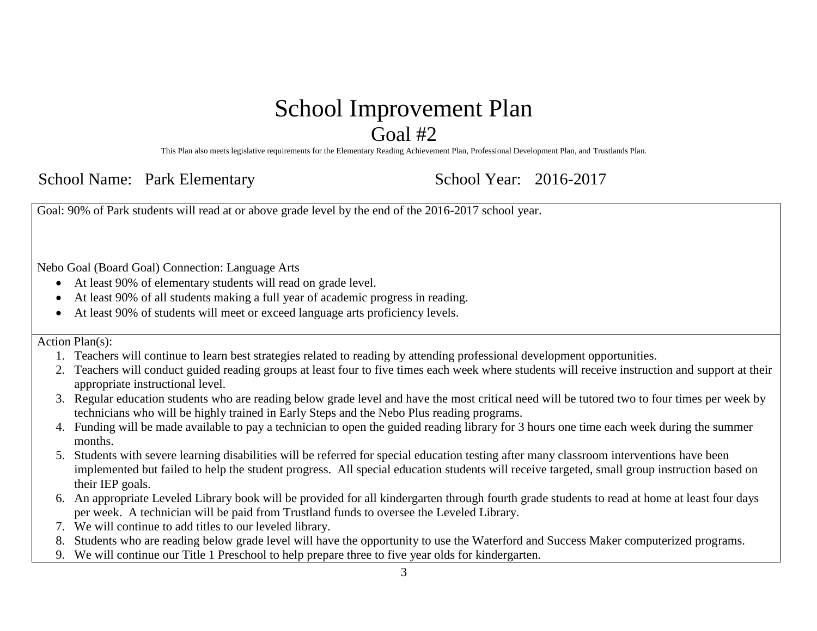#### School Improvement Plan Goal #2

This Plan also meets legislative requirements for the Elementary Reading Achievement Plan, Professional Development Plan, and Trustlands Plan.

School Name: Park Elementary School Year: 2016-2017

Goal: 90% of Park students will read at or above grade level by the end of the 2016-2017 school year.

Nebo Goal (Board Goal) Connection: Language Arts

- At least 90% of elementary students will read on grade level.
- At least 90% of all students making a full year of academic progress in reading.
- At least 90% of students will meet or exceed language arts proficiency levels.

Action Plan(s):

- 1. Teachers will continue to learn best strategies related to reading by attending professional development opportunities.
- 2. Teachers will conduct guided reading groups at least four to five times each week where students will receive instruction and support at their appropriate instructional level.
- 3. Regular education students who are reading below grade level and have the most critical need will be tutored two to four times per week by technicians who will be highly trained in Early Steps and the Nebo Plus reading programs.
- 4. Funding will be made available to pay a technician to open the guided reading library for 3 hours one time each week during the summer months.
- 5. Students with severe learning disabilities will be referred for special education testing after many classroom interventions have been implemented but failed to help the student progress. All special education students will receive targeted, small group instruction based on their IEP goals.
- 6. An appropriate Leveled Library book will be provided for all kindergarten through fourth grade students to read at home at least four days per week. A technician will be paid from Trustland funds to oversee the Leveled Library.
- 7. We will continue to add titles to our leveled library.
- 8. Students who are reading below grade level will have the opportunity to use the Waterford and Success Maker computerized programs.
- 9. We will continue our Title 1 Preschool to help prepare three to five year olds for kindergarten.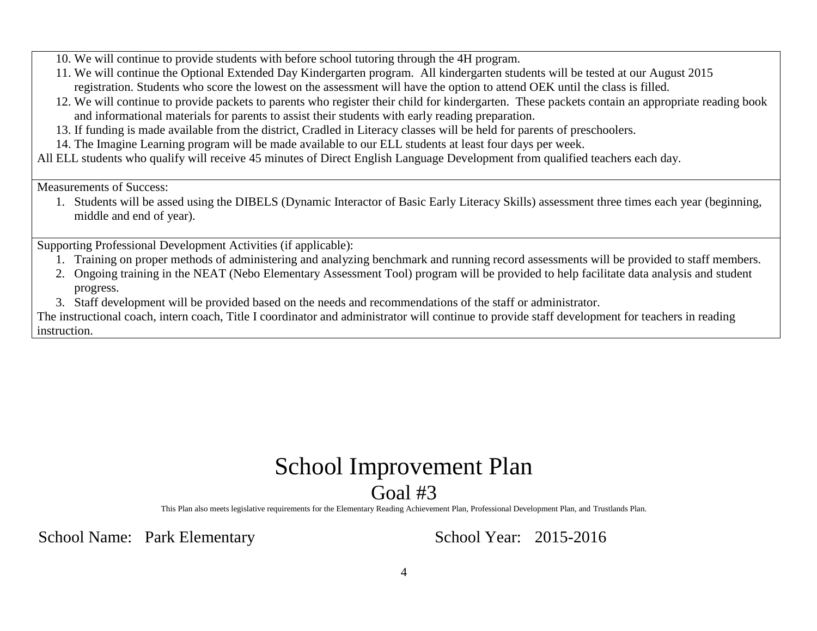- 10. We will continue to provide students with before school tutoring through the 4H program.
- 11. We will continue the Optional Extended Day Kindergarten program. All kindergarten students will be tested at our August 2015 registration. Students who score the lowest on the assessment will have the option to attend OEK until the class is filled.
- 12. We will continue to provide packets to parents who register their child for kindergarten. These packets contain an appropriate reading book and informational materials for parents to assist their students with early reading preparation.
- 13. If funding is made available from the district, Cradled in Literacy classes will be held for parents of preschoolers.
- 14. The Imagine Learning program will be made available to our ELL students at least four days per week.

All ELL students who qualify will receive 45 minutes of Direct English Language Development from qualified teachers each day.

Measurements of Success:

1. Students will be assed using the DIBELS (Dynamic Interactor of Basic Early Literacy Skills) assessment three times each year (beginning, middle and end of year).

Supporting Professional Development Activities (if applicable):

- 1. Training on proper methods of administering and analyzing benchmark and running record assessments will be provided to staff members.
- 2. Ongoing training in the NEAT (Nebo Elementary Assessment Tool) program will be provided to help facilitate data analysis and student progress.
- 3. Staff development will be provided based on the needs and recommendations of the staff or administrator.

The instructional coach, intern coach, Title I coordinator and administrator will continue to provide staff development for teachers in reading instruction.

## School Improvement Plan Goal #3

This Plan also meets legislative requirements for the Elementary Reading Achievement Plan, Professional Development Plan, and Trustlands Plan.

School Name: Park Elementary School Year: 2015-2016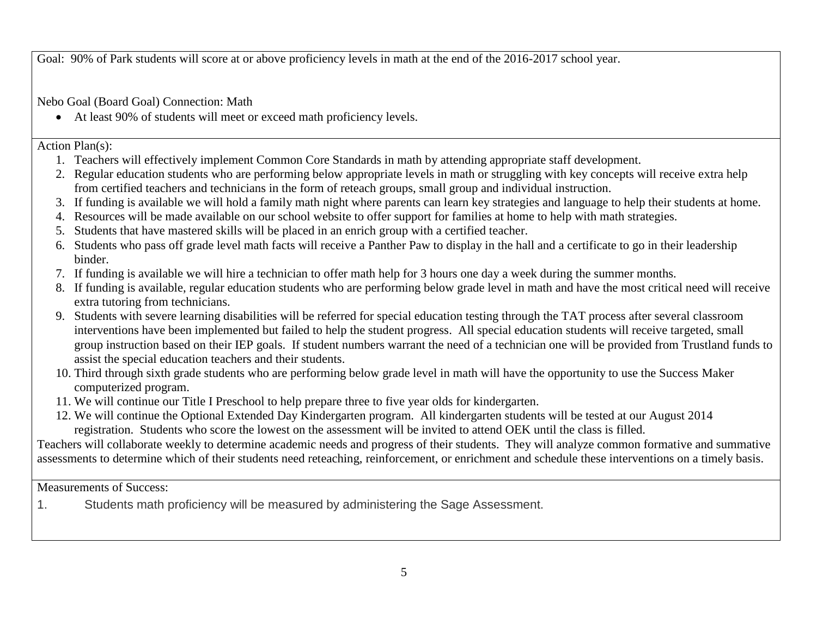Goal: 90% of Park students will score at or above proficiency levels in math at the end of the 2016-2017 school year.

Nebo Goal (Board Goal) Connection: Math

At least 90% of students will meet or exceed math proficiency levels.

Action Plan(s):

- 1. Teachers will effectively implement Common Core Standards in math by attending appropriate staff development.
- 2. Regular education students who are performing below appropriate levels in math or struggling with key concepts will receive extra help from certified teachers and technicians in the form of reteach groups, small group and individual instruction.
- 3. If funding is available we will hold a family math night where parents can learn key strategies and language to help their students at home.
- 4. Resources will be made available on our school website to offer support for families at home to help with math strategies.
- 5. Students that have mastered skills will be placed in an enrich group with a certified teacher.
- 6. Students who pass off grade level math facts will receive a Panther Paw to display in the hall and a certificate to go in their leadership binder.
- 7. If funding is available we will hire a technician to offer math help for 3 hours one day a week during the summer months.
- 8. If funding is available, regular education students who are performing below grade level in math and have the most critical need will receive extra tutoring from technicians.
- 9. Students with severe learning disabilities will be referred for special education testing through the TAT process after several classroom interventions have been implemented but failed to help the student progress. All special education students will receive targeted, small group instruction based on their IEP goals. If student numbers warrant the need of a technician one will be provided from Trustland funds to assist the special education teachers and their students.
- 10. Third through sixth grade students who are performing below grade level in math will have the opportunity to use the Success Maker computerized program.
- 11. We will continue our Title I Preschool to help prepare three to five year olds for kindergarten.
- 12. We will continue the Optional Extended Day Kindergarten program. All kindergarten students will be tested at our August 2014 registration. Students who score the lowest on the assessment will be invited to attend OEK until the class is filled.

Teachers will collaborate weekly to determine academic needs and progress of their students. They will analyze common formative and summative assessments to determine which of their students need reteaching, reinforcement, or enrichment and schedule these interventions on a timely basis.

Measurements of Success:

1. Students math proficiency will be measured by administering the Sage Assessment.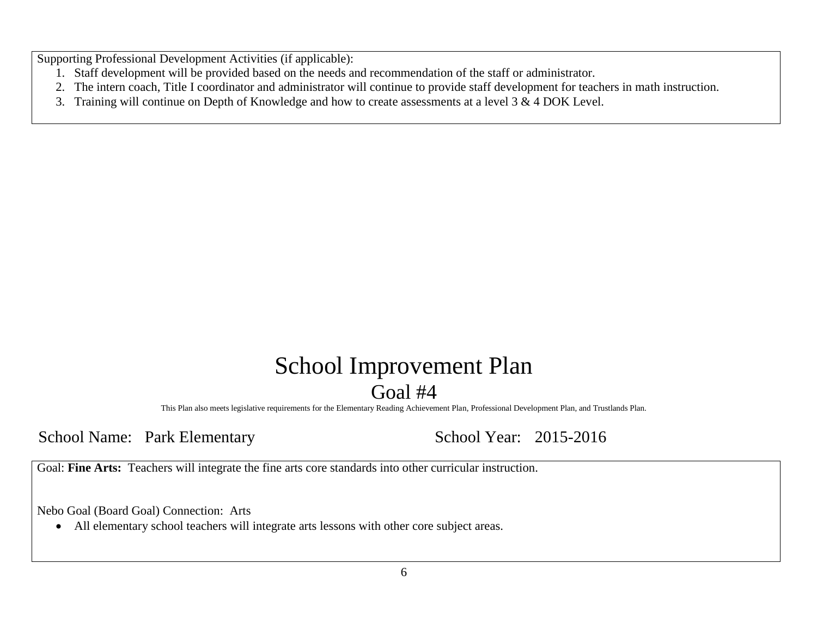Supporting Professional Development Activities (if applicable):

- 1. Staff development will be provided based on the needs and recommendation of the staff or administrator.
- 2. The intern coach, Title I coordinator and administrator will continue to provide staff development for teachers in math instruction.
- 3. Training will continue on Depth of Knowledge and how to create assessments at a level 3 & 4 DOK Level.

### School Improvement Plan Goal #4

This Plan also meets legislative requirements for the Elementary Reading Achievement Plan, Professional Development Plan, and Trustlands Plan.

School Name: Park Elementary School Year: 2015-2016

Goal: **Fine Arts:** Teachers will integrate the fine arts core standards into other curricular instruction.

Nebo Goal (Board Goal) Connection: Arts

All elementary school teachers will integrate arts lessons with other core subject areas.